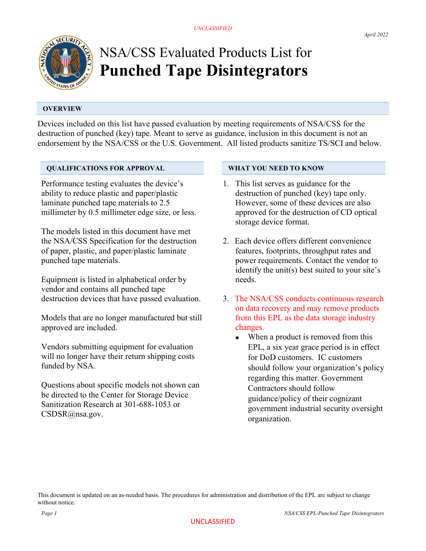

# NSA/CSS Evaluated Products List for Punched Tape Disintegrators

# **OVERVIEW**

Devices included on this list have passed evaluation by meeting requirements of NSA/CSS for the destruction of punched (key) tape. Meant to serve as guidance, inclusion in this document is not an endorsement by the NSA/CSS or the U.S. Government. All listed products sanitize TS/SCI and below.

## QUALIFICATIONS FOR APPROVAL

Performance testing evaluates the device's ability to reduce plastic and paper/plastic laminate punched tape materials to 2.5 millimeter by 0.5 millimeter edge size, or less.

The models listed in this document have met the NSA/CSS Specification for the destruction of paper, plastic, and paper/plastic laminate punched tape materials.

Equipment is listed in alphabetical order by vendor and contains all punched tape destruction devices that have passed evaluation.

Models that are no longer manufactured but still approved are included.

Vendors submitting equipment for evaluation will no longer have their return shipping costs funded by NSA.

Questions about specific models not shown can be directed to the Center for Storage Device Sanitization Research at 301-688-1053 or CSDSR@nsa.gov.

### WHAT YOU NEED TO KNOW

- 1. This list serves as guidance for the destruction of punched (key) tape only. However, some of these devices are also approved for the destruction of CD optical storage device format.
- 2. Each device offers different convenience features, footprints, throughput rates and power requirements. Contact the vendor to identify the unit(s) best suited to your site's needs.
- 3. The NSA/CSS conducts continuous research on data recovery and may remove products from this EPL as the data storage industry changes.
	- When a product is removed from this EPL, a six year grace period is in effect for DoD customers. IC customers should follow your organization's policy regarding this matter. Government Contractors should follow guidance/policy of their cognizant government industrial security oversight organization.

This document is updated on an as-needed basis. The procedures for administration and distribution of the EPL are subject to change without notice.